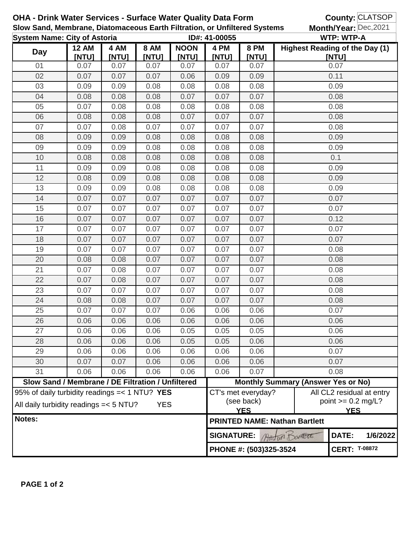| <b>OHA - Drink Water Services - Surface Water Quality Data Form</b><br>Slow Sand, Membrane, Diatomaceous Earth Filtration, or Unfiltered Systems |                                                   |               |                      |                      |                                                |                                      |                                           | County: CLATSOP<br>Month/Year: Dec, 2021                        |  |  |
|--------------------------------------------------------------------------------------------------------------------------------------------------|---------------------------------------------------|---------------|----------------------|----------------------|------------------------------------------------|--------------------------------------|-------------------------------------------|-----------------------------------------------------------------|--|--|
| <b>System Name: City of Astoria</b>                                                                                                              |                                                   |               |                      |                      | ID#: 41-00055                                  |                                      |                                           | <b>WTP: WTP-A</b>                                               |  |  |
| <b>Day</b>                                                                                                                                       | <b>12 AM</b><br>[NTU]                             | 4 AM<br>[NTU] | <b>8 AM</b><br>[NTU] | <b>NOON</b><br>[NTU] | 4 PM<br><b>INTUI</b>                           | <b>8 PM</b><br>[NTU]                 |                                           | Highest Reading of the Day (1)<br>[NTU]                         |  |  |
| 01                                                                                                                                               | 0.07                                              | 0.07          | 0.07                 | 0.07                 | 0.07                                           | 0.07                                 | 0.07                                      |                                                                 |  |  |
| 02                                                                                                                                               | 0.07                                              | 0.07          | 0.07                 | 0.06                 | 0.09                                           | 0.09                                 |                                           | 0.11                                                            |  |  |
| 03                                                                                                                                               | 0.09                                              | 0.09          | 0.08                 | 0.08                 | 0.08                                           | 0.08                                 | 0.09                                      |                                                                 |  |  |
| 04                                                                                                                                               | 0.08                                              | 0.08          | 0.08                 | 0.07                 | 0.07                                           | 0.07                                 | 0.08                                      |                                                                 |  |  |
| 05                                                                                                                                               | 0.07                                              | 0.08          | 0.08                 | 0.08                 | 0.08                                           | 0.08                                 | 0.08                                      |                                                                 |  |  |
| 06                                                                                                                                               | 0.08                                              | 0.08          | 0.08                 | 0.07                 | 0.07                                           | 0.07                                 | 0.08                                      |                                                                 |  |  |
| 07                                                                                                                                               | 0.07                                              | 0.08          | 0.07                 | 0.07                 | 0.07                                           | 0.07                                 | 0.08                                      |                                                                 |  |  |
| 08                                                                                                                                               | 0.09                                              | 0.09          | 0.08                 | 0.08                 | 0.08                                           | 0.08                                 | 0.09                                      |                                                                 |  |  |
| 09                                                                                                                                               | 0.09                                              | 0.09          | 0.08                 | 0.08                 | 0.08                                           | 0.08                                 | 0.09                                      |                                                                 |  |  |
| 10                                                                                                                                               | 0.08                                              | 0.08          | 0.08                 | 0.08                 | 0.08                                           | 0.08                                 | 0.1                                       |                                                                 |  |  |
| 11                                                                                                                                               | 0.09                                              | 0.09          | 0.08                 | 0.08                 | 0.08                                           | 0.08                                 | 0.09                                      |                                                                 |  |  |
| 12                                                                                                                                               | 0.08                                              | 0.09          | 0.08                 | 0.08                 | 0.08                                           | 0.08                                 | 0.09                                      |                                                                 |  |  |
| 13                                                                                                                                               | 0.09                                              | 0.09          | 0.08                 | 0.08                 | 0.08                                           | 0.08                                 |                                           | 0.09                                                            |  |  |
| 14                                                                                                                                               | 0.07                                              | 0.07          | 0.07                 | 0.07                 | 0.07                                           | 0.07                                 |                                           | 0.07                                                            |  |  |
| 15                                                                                                                                               | 0.07                                              | 0.07          | 0.07                 | 0.07                 | 0.07                                           | 0.07                                 |                                           | 0.07                                                            |  |  |
| 16                                                                                                                                               | 0.07                                              | 0.07          | 0.07                 | 0.07                 | 0.07                                           | 0.07                                 |                                           | 0.12                                                            |  |  |
| 17                                                                                                                                               | 0.07                                              | 0.07          | 0.07                 | 0.07                 | 0.07                                           | 0.07                                 |                                           | 0.07                                                            |  |  |
| 18                                                                                                                                               | 0.07                                              | 0.07          | 0.07                 | 0.07                 | 0.07                                           | 0.07                                 |                                           | 0.07                                                            |  |  |
| 19                                                                                                                                               | 0.07                                              | 0.07          | 0.07                 | 0.07                 | 0.07                                           | 0.07                                 | 0.08                                      |                                                                 |  |  |
| 20                                                                                                                                               | 0.08                                              | 0.08          | 0.07                 | 0.07                 | 0.07                                           | 0.07                                 | 0.08                                      |                                                                 |  |  |
| 21                                                                                                                                               | 0.07                                              | 0.08          | 0.07                 | 0.07                 | 0.07                                           | 0.07                                 | 0.08                                      |                                                                 |  |  |
| 22                                                                                                                                               | 0.07                                              | 0.08          | 0.07                 | 0.07                 | 0.07                                           | 0.07                                 | 0.08                                      |                                                                 |  |  |
| 23                                                                                                                                               | 0.07                                              | 0.07          | 0.07                 | 0.07                 | 0.07                                           | 0.07                                 | 0.08                                      |                                                                 |  |  |
| 24                                                                                                                                               | 0.08                                              | 0.08          | 0.07                 | 0.07                 | 0.07                                           | 0.07                                 | 0.08                                      |                                                                 |  |  |
| 25                                                                                                                                               | 0.07                                              | 0.07          | 0.07                 | 0.06                 | 0.06                                           | 0.06                                 | 0.07                                      |                                                                 |  |  |
| 26                                                                                                                                               | 0.06                                              | 0.06          | 0.06                 | 0.06                 | 0.06                                           | 0.06                                 | 0.06                                      |                                                                 |  |  |
| 27                                                                                                                                               | 0.06                                              | 0.06          | 0.06                 | 0.05                 | 0.05                                           | 0.05                                 | 0.06                                      |                                                                 |  |  |
| 28                                                                                                                                               | 0.06                                              | 0.06          | 0.06                 | 0.05                 | 0.05                                           | 0.06                                 | 0.06                                      |                                                                 |  |  |
| 29                                                                                                                                               | 0.06                                              | 0.06          | 0.06                 | 0.06                 | 0.06                                           | 0.06                                 | 0.07                                      |                                                                 |  |  |
| 30                                                                                                                                               | 0.07                                              | 0.07          | 0.06                 | 0.06                 | 0.06                                           | 0.06                                 | 0.07                                      |                                                                 |  |  |
| 31                                                                                                                                               | 0.06                                              | 0.06          | 0.06                 | 0.06                 | 0.06                                           | 0.07                                 | 0.08                                      |                                                                 |  |  |
|                                                                                                                                                  | Slow Sand / Membrane / DE Filtration / Unfiltered |               |                      |                      |                                                |                                      | <b>Monthly Summary (Answer Yes or No)</b> |                                                                 |  |  |
| 95% of daily turbidity readings $=< 1 N T U?$ YES<br>All daily turbidity readings = < 5 NTU?<br><b>YES</b>                                       |                                                   |               |                      |                      | CT's met everyday?<br>(see back)<br><b>YES</b> |                                      |                                           | All CL2 residual at entry<br>point $>= 0.2$ mg/L?<br><b>YES</b> |  |  |
| Notes:                                                                                                                                           |                                                   |               |                      |                      |                                                | <b>PRINTED NAME: Nathan Bartlett</b> |                                           |                                                                 |  |  |
|                                                                                                                                                  |                                                   |               |                      |                      | <b>SIGNATURE:</b>                              |                                      | En Danett                                 | DATE:<br>1/6/2022                                               |  |  |
|                                                                                                                                                  |                                                   |               |                      |                      |                                                | PHONE #: (503)325-3524               | <b>CERT: T-08872</b>                      |                                                                 |  |  |